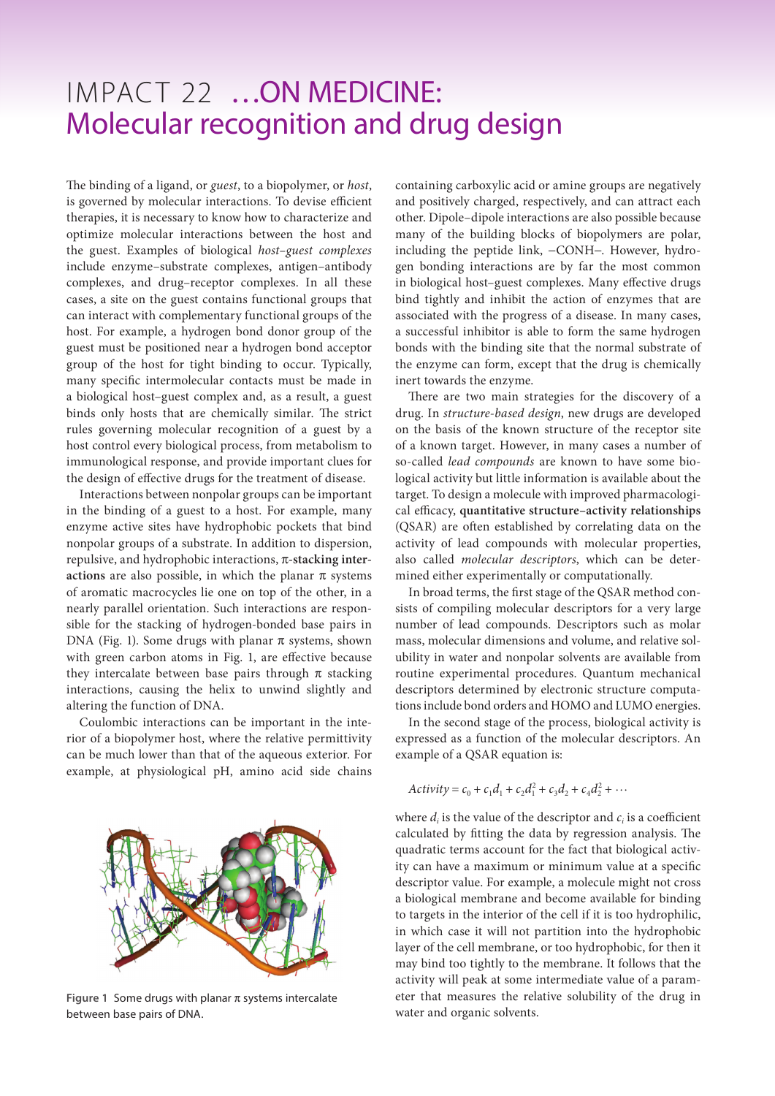## IMPACT 22 …ON MEDICINE: Molecular recognition and drug design

The binding of a ligand, or *guest*, to a biopolymer, or *host*, is governed by molecular interactions. To devise efficient therapies, it is necessary to know how to characterize and optimize molecular interactions between the host and the guest. Examples of biological *host–guest complexes* include enzyme–substrate complexes, antigen–antibody complexes, and drug–receptor complexes. In all these cases, a site on the guest contains functional groups that can interact with complementary functional groups of the host. For example, a hydrogen bond donor group of the guest must be positioned near a hydrogen bond acceptor group of the host for tight binding to occur. Typically, many specific intermolecular contacts must be made in a biological host–guest complex and, as a result, a guest binds only hosts that are chemically similar. The strict rules governing molecular recognition of a guest by a host control every biological process, from metabolism to immunological response, and provide important clues for the design of effective drugs for the treatment of disease.

Interactions between nonpolar groups can be important in the binding of a guest to a host. For example, many enzyme active sites have hydrophobic pockets that bind nonpolar groups of a substrate. In addition to dispersion, repulsive, and hydrophobic interactions, π**-stacking interactions** are also possible, in which the planar  $\pi$  systems of aromatic macrocycles lie one on top of the other, in a nearly parallel orientation. Such interactions are responsible for the stacking of hydrogen-bonded base pairs in DNA (Fig. 1). Some drugs with planar  $\pi$  systems, shown with green carbon atoms in Fig. 1, are effective because they intercalate between base pairs through  $\pi$  stacking interactions, causing the helix to unwind slightly and altering the function of DNA.

Coulombic interactions can be important in the interior of a biopolymer host, where the relative permittivity can be much lower than that of the aqueous exterior. For example, at physiological pH, amino acid side chains



**Figure 1** Some drugs with planar π systems intercalate between base pairs of DNA.

containing carboxylic acid or amine groups are negatively and positively charged, respectively, and can attract each other. Dipole–dipole interactions are also possible because many of the building blocks of biopolymers are polar, including the peptide link, −CONH−. However, hydrogen bonding interactions are by far the most common in biological host–guest complexes. Many effective drugs bind tightly and inhibit the action of enzymes that are associated with the progress of a disease. In many cases, a successful inhibitor is able to form the same hydrogen bonds with the binding site that the normal substrate of the enzyme can form, except that the drug is chemically inert towards the enzyme.

There are two main strategies for the discovery of a drug. In *structure-based design*, new drugs are developed on the basis of the known structure of the receptor site of a known target. However, in many cases a number of so-called *lead compounds* are known to have some biological activity but little information is available about the target. To design a molecule with improved pharmacological efficacy, **quantitative structure–activity relationships**  (QSAR) are often established by correlating data on the activity of lead compounds with molecular properties, also called *molecular descriptors*, which can be determined either experimentally or computationally.

In broad terms, the first stage of the QSAR method consists of compiling molecular descriptors for a very large number of lead compounds. Descriptors such as molar mass, molecular dimensions and volume, and relative solubility in water and nonpolar solvents are available from routine experimental procedures. Quantum mechanical descriptors determined by electronic structure computations include bond orders and HOMO and LUMO energies.

In the second stage of the process, biological activity is expressed as a function of the molecular descriptors. An example of a QSAR equation is:

$$
Activity = c_0 + c_1d_1 + c_2d_1^2 + c_3d_2 + c_4d_2^2 + \cdots
$$

where  $d_i$  is the value of the descriptor and  $c_i$  is a coefficient calculated by fitting the data by regression analysis. The quadratic terms account for the fact that biological activity can have a maximum or minimum value at a specific descriptor value. For example, a molecule might not cross a biological membrane and become available for binding to targets in the interior of the cell if it is too hydrophilic, in which case it will not partition into the hydrophobic layer of the cell membrane, or too hydrophobic, for then it may bind too tightly to the membrane. It follows that the activity will peak at some intermediate value of a parameter that measures the relative solubility of the drug in water and organic solvents.